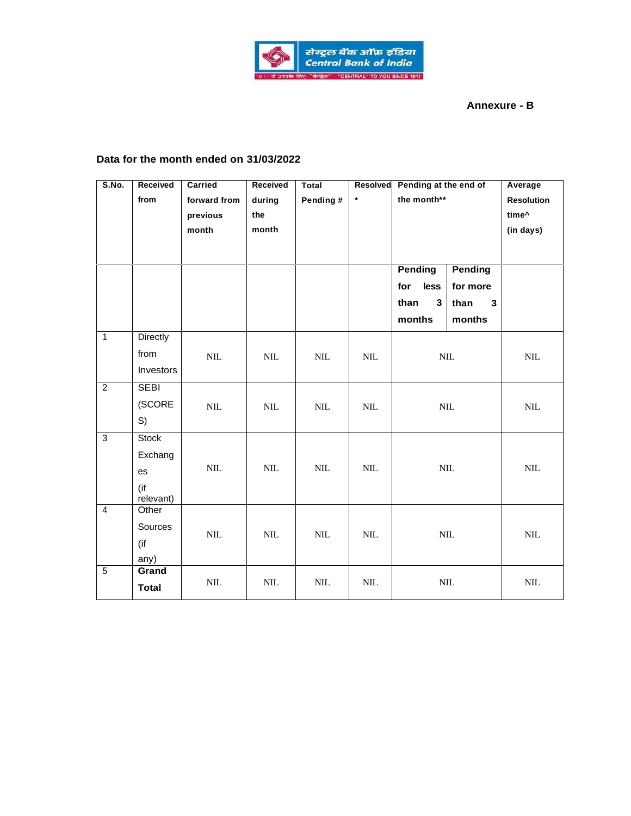

## **Annexure - B**

## **Data for the month ended on 31/03/2022**

| S.No.          | Received<br>from                                  | Carried<br>forward from<br>previous<br>month | Received<br>during<br>the<br>month | <b>Total</b><br>Pending # | Resolved<br>$\star$ | Pending at the end of<br>the month**                            |                                                              | Average<br><b>Resolution</b><br>time^<br>(in days) |
|----------------|---------------------------------------------------|----------------------------------------------|------------------------------------|---------------------------|---------------------|-----------------------------------------------------------------|--------------------------------------------------------------|----------------------------------------------------|
|                |                                                   |                                              |                                    |                           |                     | <b>Pending</b><br>for<br>less<br>$\mathbf{3}$<br>than<br>months | <b>Pending</b><br>for more<br>than<br>$\mathbf{3}$<br>months |                                                    |
| $\overline{1}$ | <b>Directly</b><br>from<br>Investors              | $\mbox{NIL}$                                 | $\text{NIL}$                       | $\text{NIL}$              | $\mbox{NIL}$        | $\mbox{NIL}$                                                    |                                                              | $\text{NIL}$                                       |
| $\overline{2}$ | <b>SEBI</b><br>(SCORE<br>S)                       | $\text{NIL}$                                 | $\text{NIL}$                       | $\text{NIL}$              | $\text{NIL}$        | $\text{NIL}$                                                    |                                                              | $\mbox{NIL}$                                       |
| $\overline{3}$ | <b>Stock</b><br>Exchang<br>es<br>(if<br>relevant) | $\mbox{NIL}$                                 | $\text{NIL}$                       | $\text{NIL}$              | $\text{NIL}$        | $\mbox{NIL}$                                                    |                                                              | $\mbox{NIL}$                                       |
| $\overline{4}$ | Other<br>Sources<br>(if<br>any)                   | $\mbox{NIL}$                                 | $\mbox{NIL}$                       | $\mbox{NIL}$              | $\mbox{NIL}$        | $\mbox{NIL}$                                                    |                                                              | $\text{NIL}$                                       |
| $\overline{5}$ | Grand<br><b>Total</b>                             | $\mbox{NIL}$                                 | $\mbox{NIL}$                       | $\mbox{NIL}$              | $\mbox{NIL}$        |                                                                 | $\mbox{NIL}$                                                 | $\mbox{NIL}$                                       |